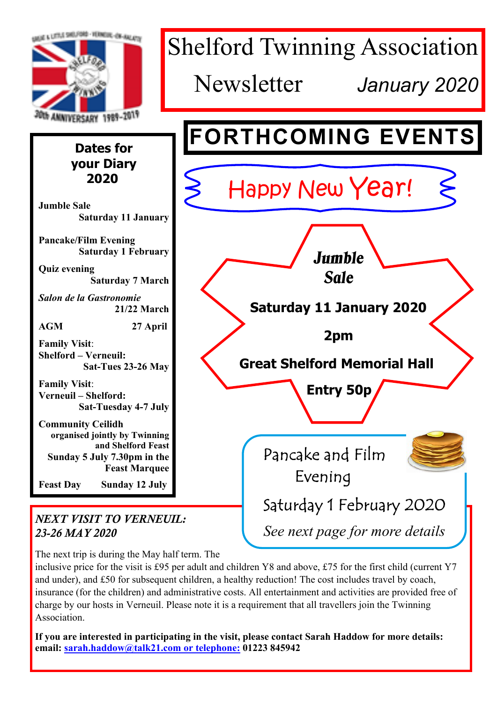

The next trip is during the May half term. The

inclusive price for the visit is £95 per adult and children Y8 and above, £75 for the first child (current Y7 and under), and £50 for subsequent children, a healthy reduction! The cost includes travel by coach, insurance (for the children) and administrative costs. All entertainment and activities are provided free of charge by our hosts in Verneuil. Please note it is a requirement that all travellers join the Twinning Association.

**If you are interested in participating in the visit, please contact Sarah Haddow for more details: email: sarah.haddow@talk21.com or telephone: 01223 845942**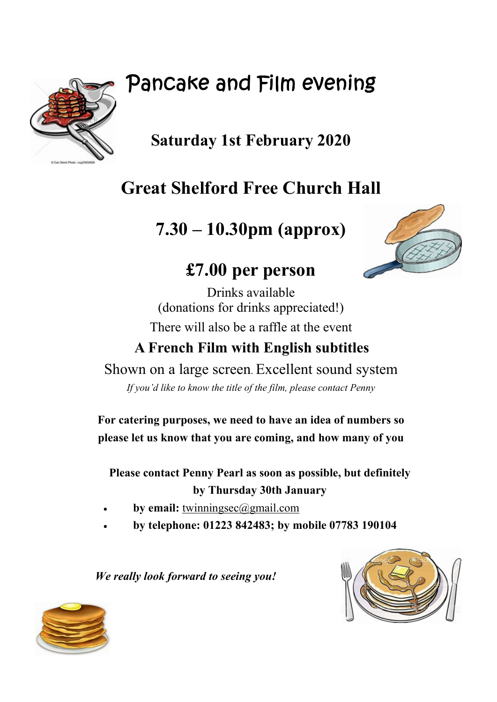# Pancake and Film evening



# **Saturday 1st February 2020**

# **Great Shelford Free Church Hall**

**7.30 – 10.30pm (approx)**



# **£7.00 per person**

Drinks available (donations for drinks appreciated!) There will also be a raffle at the event

## **A French Film with English subtitles**

Shown on a large screen. Excellent sound system

*If you'd like to know the title of the film, please contact Penny*

**For catering purposes, we need to have an idea of numbers so please let us know that you are coming, and how many of you**

**Please contact Penny Pearl as soon as possible, but definitely by Thursday 30th January**

- by email: twinningsec@gmail.com
- · **by telephone: 01223 842483; by mobile 07783 190104**

 *We really look forward to seeing you!*



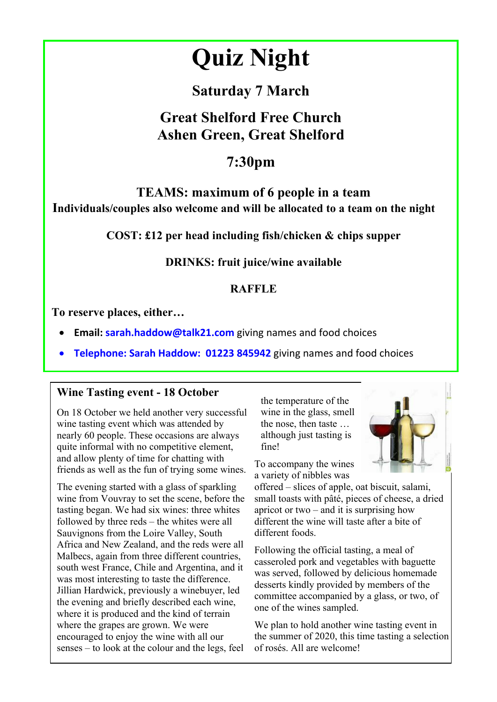# **Quiz Night**

## **Saturday 7 March**

## **Great Shelford Free Church Ashen Green, Great Shelford**

## **7:30pm**

## **TEAMS: maximum of 6 people in a team Individuals/couples also welcome and will be allocated to a team on the night**

**COST: £12 per head including fish/chicken & chips supper**

## **DRINKS: fruit juice/wine available**

## **RAFFLE**

**To reserve places, either…**

- **Email: sarah.haddow@talk21.com** giving names and food choices
- **Telephone: Sarah Haddow: 01223 845942** giving names and food choices

#### **Wine Tasting event - 18 October**

On 18 October we held another very successful wine tasting event which was attended by nearly 60 people. These occasions are always quite informal with no competitive element, and allow plenty of time for chatting with friends as well as the fun of trying some wines.

The evening started with a glass of sparkling wine from Vouvray to set the scene, before the tasting began. We had six wines: three whites followed by three reds – the whites were all Sauvignons from the Loire Valley, South Africa and New Zealand, and the reds were all Malbecs, again from three different countries, south west France, Chile and Argentina, and it was most interesting to taste the difference. Jillian Hardwick, previously a winebuyer, led the evening and briefly described each wine, where it is produced and the kind of terrain where the grapes are grown. We were encouraged to enjoy the wine with all our senses – to look at the colour and the legs, feel

the temperature of the wine in the glass, smell the nose, then taste … although just tasting is fine!



To accompany the wines a variety of nibbles was

offered – slices of apple, oat biscuit, salami, small toasts with pâté, pieces of cheese, a dried apricot or two – and it is surprising how different the wine will taste after a bite of different foods.

Following the official tasting, a meal of casseroled pork and vegetables with baguette was served, followed by delicious homemade desserts kindly provided by members of the committee accompanied by a glass, or two, of one of the wines sampled.

We plan to hold another wine tasting event in the summer of 2020, this time tasting a selection of rosés. All are welcome!